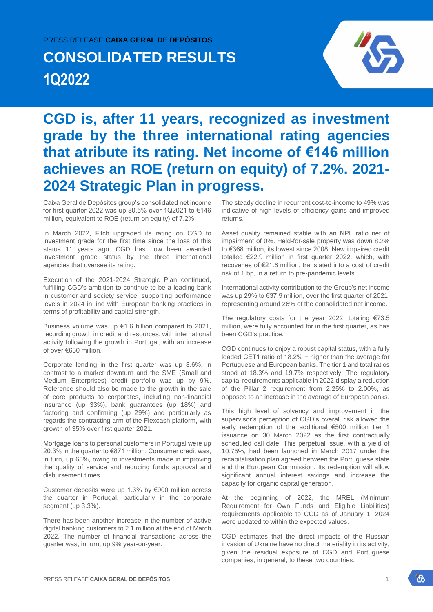### PRESS RELEASE **CAIXA GERAL DE DEPÓSITOS**

# **CONSOLIDATED RESULTS 1Q2022**



## **CGD is, after 11 years, recognized as investment grade by the three international rating agencies that atribute its rating. Net income of €146 million achieves an ROE (return on equity) of 7.2%. 2021- 2024 Strategic Plan in progress.**

Caixa Geral de Depósitos group's consolidated net income for first quarter 2022 was up 80.5% over 1Q2021 to €146 million, equivalent to ROE (return on equity) of 7.2%.

In March 2022, Fitch upgraded its rating on CGD to investment grade for the first time since the loss of this status 11 years ago. CGD has now been awarded investment grade status by the three international agencies that oversee its rating.

Execution of the 2021-2024 Strategic Plan continued, fulfilling CGD's ambition to continue to be a leading bank in customer and society service, supporting performance levels in 2024 in line with European banking practices in terms of profitability and capital strength.

Business volume was up €1.6 billion compared to 2021, recording growth in credit and resources, with international activity following the growth in Portugal, with an increase of over €650 million.

Corporate lending in the first quarter was up 8.6%, in contrast to a market downturn and the SME (Small and Medium Enterprises) credit portfolio was up by 9%. Reference should also be made to the growth in the sale of core products to corporates, including non-financial insurance (up 33%), bank guarantees (up 18%) and factoring and confirming (up 29%) and particularly as regards the contracting arm of the Flexcash platform, with growth of 35% over first quarter 2021.

Mortgage loans to personal customers in Portugal were up 20.3% in the quarter to €871 million. Consumer credit was, in turn, up 65%, owing to investments made in improving the quality of service and reducing funds approval and disbursement times.

Customer deposits were up 1.3% by €900 million across the quarter in Portugal, particularly in the corporate segment (up 3.3%).

There has been another increase in the number of active digital banking customers to 2.1 million at the end of March 2022. The number of financial transactions across the quarter was, in turn, up 9% year-on-year.

The steady decline in recurrent cost-to-income to 49% was indicative of high levels of efficiency gains and improved returns.

Asset quality remained stable with an NPL ratio net of impairment of 0%. Held-for-sale property was down 8.2% to €368 million, its lowest since 2008. New impaired credit totalled €22.9 million in first quarter 2022, which, with recoveries of €21.6 million, translated into a cost of credit risk of 1 bp, in a return to pre-pandemic levels.

International activity contribution to the Group's net income was up 29% to €37.9 million, over the first quarter of 2021, representing around 26% of the consolidated net income.

The regulatory costs for the year 2022, totaling  $\epsilon$ 73.5 million, were fully accounted for in the first quarter, as has been CGD's practice.

CGD continues to enjoy a robust capital status, with a fully loaded CET1 ratio of 18.2% − higher than the average for Portuguese and European banks. The tier 1 and total ratios stood at 18.3% and 19.7% respectively. The regulatory capital requirements applicable in 2022 display a reduction of the Pillar 2 requirement from 2.25% to 2.00%, as opposed to an increase in the average of European banks.

This high level of solvency and improvement in the supervisor's perception of CGD's overall risk allowed the early redemption of the additional €500 million tier 1 issuance on 30 March 2022 as the first contractually scheduled call date. This perpetual issue, with a yield of 10.75%, had been launched in March 2017 under the recapitalisation plan agreed between the Portuguese state and the European Commission. Its redemption will allow significant annual interest savings and increase the capacity for organic capital generation.

At the beginning of 2022, the MREL (Minimum Requirement for Own Funds and Eligible Liabilities) requirements applicable to CGD as of January 1, 2024 were updated to within the expected values.

CGD estimates that the direct impacts of the Russian invasion of Ukraine have no direct materiality in its activity, given the residual exposure of CGD and Portuguese companies, in general, to these two countries.

沿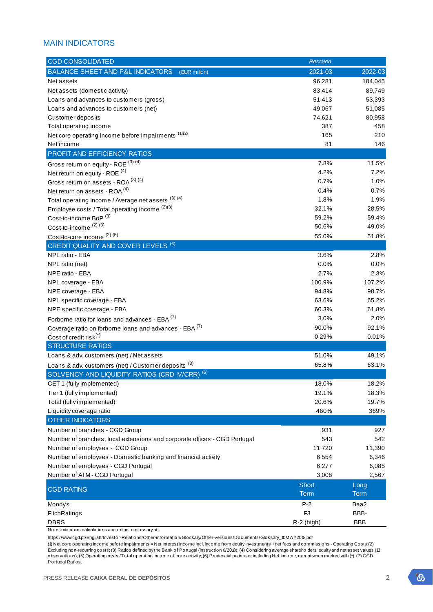## MAIN INDICATORS

| <b>CGD CONSOLIDATED</b><br><b>Restated</b>                                       |                     |
|----------------------------------------------------------------------------------|---------------------|
| BALANCE SHEET AND P&L INDICATORS<br>2021-03<br>(EUR million)                     | 2022-03             |
| 96,281<br>Net assets                                                             | 104,045             |
| Net assets (domestic activity)<br>83,414                                         | 89,749              |
| Loans and advances to customers (gross)<br>51,413                                | 53,393              |
| Loans and advances to customers (net)<br>49,067                                  | 51,085              |
| Customer deposits<br>74,621                                                      | 80,958              |
| Total operating income<br>387                                                    | 458                 |
| Net core operating Income before impairments (1)(2)<br>165                       | 210                 |
| 81<br>Net income                                                                 | 146                 |
| PROFIT AND EFFICIENCY RATIOS                                                     |                     |
| Gross return on equity - ROE (3) (4)<br>7.8%                                     | 11.5%               |
| 4.2%<br>Net return on equity - ROE $(4)$                                         | 7.2%                |
| Gross return on assets - ROA (3) (4)<br>0.7%                                     | 1.0%                |
| Net return on assets - ROA <sup>(4)</sup><br>0.4%                                | 0.7%                |
| Total operating income / Average net assets (3) (4)<br>1.8%                      | 1.9%                |
| 32.1%<br>Employee costs / Total operating income (2)(3)                          | 28.5%               |
| 59.2%<br>Cost-to-income BoP <sup>(3)</sup>                                       | 59.4%               |
| Cost-to-income <sup>(2)(3)</sup><br>50.6%                                        | 49.0%               |
| Cost-to-core income (2) (5)<br>55.0%                                             | 51.8%               |
| CREDIT QUALITY AND COVER LEVELS <sup>(6)</sup>                                   |                     |
| 3.6%<br>NPL ratio - EBA                                                          | 2.8%                |
| NPL ratio (net)<br>0.0%                                                          | $0.0\%$             |
| 2.7%<br>NPE ratio - EBA                                                          | 2.3%                |
| 100.9%<br>NPL coverage - EBA                                                     | 107.2%              |
| NPE coverage - EBA<br>94.8%                                                      | 98.7%               |
| NPL specific coverage - EBA<br>63.6%                                             | 65.2%               |
| 60.3%<br>NPE specific coverage - EBA                                             | 61.8%               |
| Forborne ratio for loans and advances - EBA (7)<br>3.0%                          | 2.0%                |
| Coverage ratio on forborne loans and advances - EBA (7)<br>90.0%                 | 92.1%               |
| Cost of credit risk $(*)$<br>0.29%                                               | 0.01%               |
| <b>STRUCTURE RATIOS</b>                                                          |                     |
| Loans & adv. customers (net) / Net assets<br>51.0%                               | 49.1%               |
| 65.8%<br>Loans & adv. customers (net) / Customer deposits (3)                    | 63.1%               |
| SOLVENCY AND LIQUIDITY RATIOS (CRD IV/CRR) <sup>(6)</sup>                        |                     |
| 18.0%<br>CET 1 (fully implemented)                                               | 18.2%               |
| Tier 1 (fully implemented)<br>19.1%<br>Total (fully implemented)<br>20.6%        | 18.3%<br>19.7%      |
| Liquidity coverage ratio<br>460%                                                 | 369%                |
| OTHER INDICATORS                                                                 |                     |
| Number of branches - CGD Group<br>931                                            | 927                 |
| Number of branches, local extensions and corporate offices - CGD Portugal<br>543 | 542                 |
| Number of employees - CGD Group<br>11,720                                        | 11,390              |
| Number of employees - Domestic banking and financial activity<br>6,554           | 6,346               |
| Number of employees - CGD Portugal<br>6,277                                      | 6,085               |
| Number of ATM - CGD Portugal<br>3,008                                            | 2,567               |
| <b>Short</b>                                                                     |                     |
| <b>CGD RATING</b><br><b>Term</b>                                                 | Long<br><b>Term</b> |
| $P-2$<br>Moody's                                                                 | Baa2                |
| F <sub>3</sub><br>FitchRatings                                                   | BBB-                |
| <b>DBRS</b><br>$R-2$ (high)                                                      | <b>BBB</b>          |

Note: Indicators calculations according to glossary at:

https://www.cgd.pt/English/Investor-Relations/Other-information/Glossary/Other-versions/Documents/Glossary\_10M AY2018.pdf

(1) Net core operating Income before impairments = Net interest income incl. income from equity investments + net fees and commissions - Operating Costs;(2) Excluding non-recurring costs; (3) Ratios defined by the Bank of Portugal (instruction 6/2018); (4) Considering average shareholders' equity and net asset values (13 observations); (5) Operating costs /Total operating income of core activity; (6) Prudencial perimeter including Net Income, except when marked with (\*); (7) CGD Portugal Ratios.

 $\mathcal{L}_{\mathcal{D}}$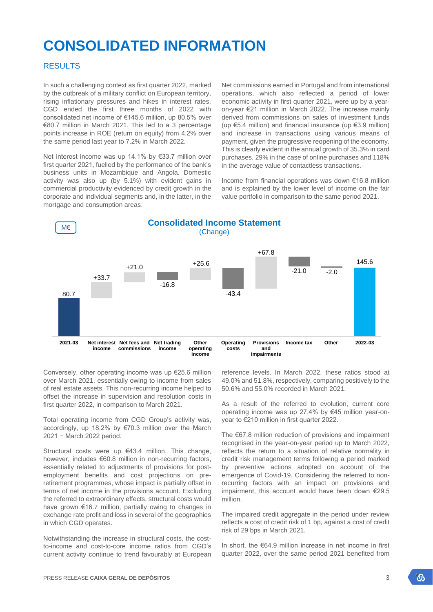## **CONSOLIDATED INFORMATION**

#### RESULTS

In such a challenging context as first quarter 2022, marked by the outbreak of a military conflict on European territory, rising inflationary pressures and hikes in interest rates, CGD ended the first three months of 2022 with consolidated net income of €145.6 million, up 80.5% over €80.7 million in March 2021. This led to a 3 percentage points increase in ROE (return on equity) from 4.2% over the same period last year to 7.2% in March 2022.

Net interest income was up 14.1% by €33.7 million over first quarter 2021, fuelled by the performance of the bank's business units in Mozambique and Angola. Domestic activity was also up (by 5.1%) with evident gains in commercial productivity evidenced by credit growth in the corporate and individual segments and, in the latter, in the mortgage and consumption areas.

Net commissions earned in Portugal and from international operations, which also reflected a period of lower economic activity in first quarter 2021, were up by a yearon-year €21 million in March 2022. The increase mainly derived from commissions on sales of investment funds (up €5.4 million) and financial insurance (up €3.9 million) and increase in transactions using various means of payment, given the progressive reopening of the economy. This is clearly evident in the annual growth of 35.3% in card purchases, 29% in the case of online purchases and 118% in the average value of contactless transactions.

Income from financial operations was down €16.8 million and is explained by the lower level of income on the fair value portfolio in comparison to the same period 2021.



Conversely, other operating income was up €25.6 million over March 2021, essentially owing to income from sales of real estate assets. This non-recurring income helped to offset the increase in supervision and resolution costs in first quarter 2022, in comparison to March 2021.

Total operating income from CGD Group's activity was, accordingly, up 18.2% by €70.3 million over the March 2021 − March 2022 period.

Structural costs were up €43.4 million. This change, however, includes €60.8 million in non-recurring factors, essentially related to adjustments of provisions for postemployment benefits and cost projections on preretirement programmes, whose impact is partially offset in terms of net income in the provisions account. Excluding the referred to extraordinary effects, structural costs would have grown €16.7 million, partially owing to changes in exchange rate profit and loss in several of the geographies in which CGD operates.

Notwithstanding the increase in structural costs, the costto-income and cost-to-core income ratios from CGD's current activity continue to trend favourably at European

reference levels. In March 2022, these ratios stood at 49.0% and 51.8%, respectively, comparing positively to the 50.6% and 55.0% recorded in March 2021.

As a result of the referred to evolution, current core operating income was up 27.4% by €45 million year-onyear to €210 million in first quarter 2022.

The €67.8 million reduction of provisions and impairment recognised in the year-on-year period up to March 2022, reflects the return to a situation of relative normality in credit risk management terms following a period marked by preventive actions adopted on account of the emergence of Covid-19. Considering the referred to nonrecurring factors with an impact on provisions and impairment, this account would have been down €29.5 million.

The impaired credit aggregate in the period under review reflects a cost of credit risk of 1 bp, against a cost of credit risk of 29 bps in March 2021.

In short, the €64.9 million increase in net income in first quarter 2022, over the same period 2021 benefited from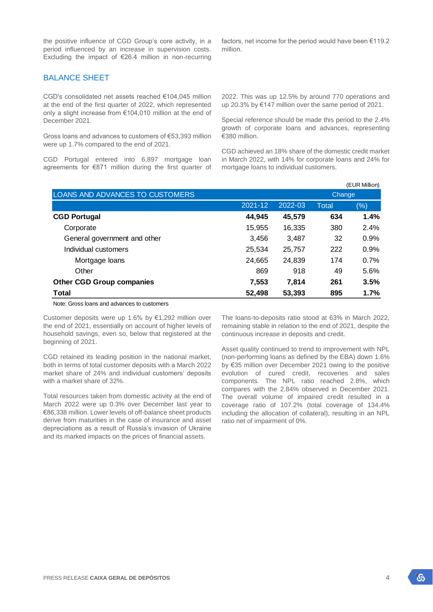## BALANCE SHEET

CGD's consolidated net assets reached €104,045 million at the end of the first quarter of 2022, which represented only a slight increase from €104,010 million at the end of December 2021.

Gross loans and advances to customers of €53,393 million were up 1.7% compared to the end of 2021.

CGD Portugal entered into 6,897 mortgage loan agreements for €871 million during the first quarter of factors, net income for the period would have been €119.2 million.

2022. This was up 12.5% by around 770 operations and up 20.3% by €147 million over the same period of 2021.

Special reference should be made this period to the 2.4% growth of corporate loans and advances, representing €380 million.

CGD achieved an 18% share of the domestic credit market in March 2022, with 14% for corporate loans and 24% for mortgage loans to individual customers.

| LOANS AND ADVANCES TO CUSTOMERS  |         |         | Change       |      |  |  |
|----------------------------------|---------|---------|--------------|------|--|--|
|                                  | 2021-12 | 2022-03 | <b>Total</b> | (%)  |  |  |
| <b>CGD Portugal</b>              | 44,945  | 45,579  | 634          | 1.4% |  |  |
| Corporate                        | 15,955  | 16,335  | 380          | 2.4% |  |  |
| General government and other     | 3,456   | 3,487   | 32           | 0.9% |  |  |
| Individual customers             | 25,534  | 25,757  | 222          | 0.9% |  |  |
| Mortgage loans                   | 24,665  | 24,839  | 174          | 0.7% |  |  |
| Other                            | 869     | 918     | 49           | 5.6% |  |  |
| <b>Other CGD Group companies</b> | 7,553   | 7.814   | 261          | 3.5% |  |  |
| <b>Total</b>                     | 52,498  | 53,393  | 895          | 1.7% |  |  |

Note: Gross loans and advances to customers

Customer deposits were up 1.6% by €1,292 million over the end of 2021, essentially on account of higher levels of household savings, even so, below that registered at the beginning of 2021.

CGD retained its leading position in the national market, both in terms of total customer deposits with a March 2022 market share of 24% and individual customers' deposits with a market share of 32%.

Total resources taken from domestic activity at the end of March 2022 were up 0.3% over December last year to €86,338 million. Lower levels of off-balance sheet products derive from maturities in the case of insurance and asset depreciations as a result of Russia's invasion of Ukraine and its marked impacts on the prices of financial assets.

The loans-to-deposits ratio stood at 63% in March 2022, remaining stable in relation to the end of 2021, despite the continuous increase in deposits and credit.

Asset quality continued to trend to improvement with NPL (non-performing loans as defined by the EBA) down 1.6% by €35 million over December 2021 owing to the positive evolution of cured credit, recoveries and sales components. The NPL ratio reached 2.8%, which compares with the 2.84% observed in December 2021. The overall volume of impaired credit resulted in a coverage ratio of 107.2% (total coverage of 134.4% including the allocation of collateral), resulting in an NPL ratio net of impairment of 0%.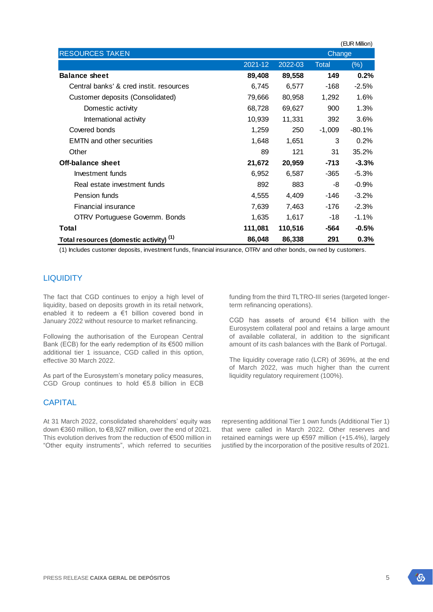| <b>RESOURCES TAKEN</b>                     |         | Change  |          |          |  |  |
|--------------------------------------------|---------|---------|----------|----------|--|--|
|                                            | 2021-12 | 2022-03 |          | (%)      |  |  |
| <b>Balance sheet</b>                       | 89,408  | 89,558  | 149      | 0.2%     |  |  |
| Central banks' & cred instit, resources    | 6,745   | 6,577   | -168     | $-2.5%$  |  |  |
| Customer deposits (Consolidated)           | 79,666  | 80,958  | 1,292    | 1.6%     |  |  |
| Domestic activity                          | 68,728  | 69,627  | 900      | 1.3%     |  |  |
| International activity                     | 10,939  | 11,331  | 392      | 3.6%     |  |  |
| Covered bonds                              | 1,259   | 250     | $-1,009$ | $-80.1%$ |  |  |
| <b>EMTN</b> and other securities           | 1,648   | 1,651   | 3        | 0.2%     |  |  |
| Other                                      | 89      | 121     | 31       | 35.2%    |  |  |
| <b>Off-balance sheet</b>                   | 21,672  | 20,959  | $-713$   | $-3.3%$  |  |  |
| Investment funds                           | 6,952   | 6,587   | -365     | $-5.3%$  |  |  |
| Real estate investment funds               | 892     | 883     | -8       | $-0.9%$  |  |  |
| Pension funds                              | 4,555   | 4,409   | -146     | $-3.2%$  |  |  |
| Financial insurance                        | 7,639   | 7,463   | -176     | $-2.3%$  |  |  |
| OTRV Portuguese Governm. Bonds             | 1,635   | 1,617   | -18      | $-1.1\%$ |  |  |
| Total                                      | 111,081 | 110,516 | -564     | $-0.5%$  |  |  |
| (1)<br>Total resources (domestic activity) | 86,048  | 86,338  | 291      | 0.3%     |  |  |

(1) Includes customer deposits, investment funds, financial insurance, OTRV and other bonds, ow ned by customers.

## **LIQUIDITY**

The fact that CGD continues to enjoy a high level of liquidity, based on deposits growth in its retail network, enabled it to redeem a €1 billion covered bond in January 2022 without resource to market refinancing.

Following the authorisation of the European Central Bank (ECB) for the early redemption of its €500 million additional tier 1 issuance, CGD called in this option, effective 30 March 2022.

As part of the Eurosystem's monetary policy measures, CGD Group continues to hold €5.8 billion in ECB

## **CAPITAL**

At 31 March 2022, consolidated shareholders' equity was down €360 million, to €8,927 million, over the end of 2021. This evolution derives from the reduction of €500 million in "Other equity instruments", which referred to securities

funding from the third TLTRO-III series (targeted longerterm refinancing operations).

CGD has assets of around €14 billion with the Eurosystem collateral pool and retains a large amount of available collateral, in addition to the significant amount of its cash balances with the Bank of Portugal.

The liquidity coverage ratio (LCR) of 369%, at the end of March 2022, was much higher than the current liquidity regulatory requirement (100%).

representing additional Tier 1 own funds (Additional Tier 1) that were called in March 2022. Other reserves and retained earnings were up €597 million (+15.4%), largely justified by the incorporation of the positive results of 2021.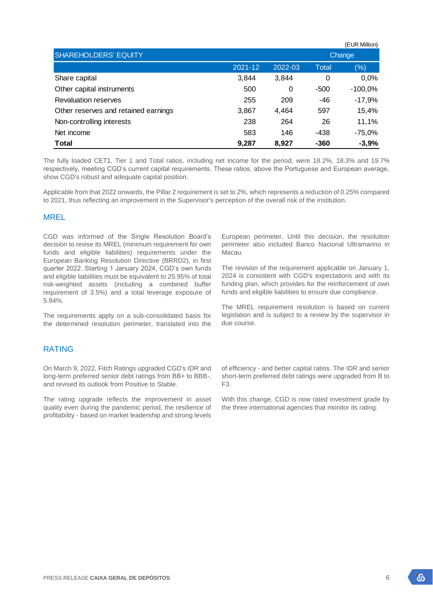|                                      |         |         |              | (EUR Million) |  |  |
|--------------------------------------|---------|---------|--------------|---------------|--|--|
| <b>SHAREHOLDERS' EQUITY</b>          |         |         | Change       |               |  |  |
|                                      | 2021-12 | 2022-03 | <b>Total</b> | $(\% )$       |  |  |
| Share capital                        | 3,844   | 3,844   | 0            | 0,0%          |  |  |
| Other capital instruments            | 500     | 0       | $-500$       | $-100,0%$     |  |  |
| <b>Revaluation reserves</b>          | 255     | 209     | $-46$        | $-17,9%$      |  |  |
| Other reserves and retained earnings | 3,867   | 4,464   | 597          | 15,4%         |  |  |
| Non-controlling interests            | 238     | 264     | 26           | 11,1%         |  |  |
| Net income                           | 583     | 146     | -438         | $-75,0%$      |  |  |
| <b>Total</b>                         | 9,287   | 8,927   | $-360$       | $-3,9%$       |  |  |

The fully loaded CET1, Tier 1 and Total ratios, including net income for the period, were 18.2%, 18.3% and 19.7% respectively, meeting CGD's current capital requirements. These ratios, above the Portuguese and European average, show CGD's robust and adequate capital position.

Applicable from that 2022 onwards, the Pillar 2 requirement is set to 2%, which represents a reduction of 0.25% compared to 2021, thus reflecting an improvement in the Supervisor's perception of the overall risk of the institution.

#### MREL

CGD was informed of the Single Resolution Board's decision to revise its MREL (minimum requirement for own funds and eligible liabilities) requirements under the European Banking Resolution Directive (BRRD2), in first quarter 2022. Starting 1 January 2024, CGD's own funds and eligible liabilities must be equivalent to 25.95% of total risk-weighted assets (including a combined buffer requirement of 3.5%) and a total leverage exposure of 5.94%.

The requirements apply on a sub-consolidated basis for the determined resolution perimeter, translated into the

### RATING

On March 9, 2022, Fitch Ratings upgraded CGD's IDR and long-term preferred senior debt ratings from BB+ to BBB-, and revised its outlook from Positive to Stable.

The rating upgrade reflects the improvement in asset quality even during the pandemic period, the resilience of profitability - based on market leadership and strong levels

European perimeter. Until this decision, the resolution perimeter also included Banco Nacional Ultramarino in Macau.

The revision of the requirement applicable on January 1, 2024 is consistent with CGD's expectations and with its funding plan, which provides for the reinforcement of own funds and eligible liabilities to ensure due compliance.

The MREL requirement resolution is based on current legislation and is subject to a review by the supervisor in due course.

of efficiency - and better capital ratios. The IDR and senior short-term preferred debt ratings were upgraded from B to F3.

With this change, CGD is now rated investment grade by the three international agencies that monitor its rating.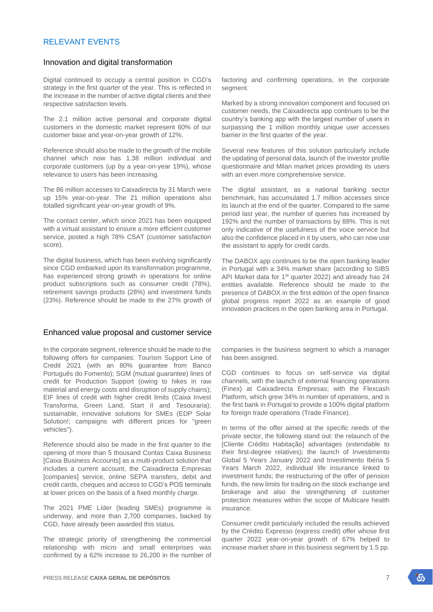## RELEVANT EVENTS

#### Innovation and digital transformation

Digital continued to occupy a central position in CGD's strategy in the first quarter of the year. This is reflected in the increase in the number of active digital clients and their respective satisfaction levels.

The 2.1 million active personal and corporate digital customers in the domestic market represent 60% of our customer base and year-on-year growth of 12%.

Reference should also be made to the growth of the mobile channel which now has 1.38 million individual and corporate customers (up by a year-on-year 19%), whose relevance to users has been increasing.

The 86 million accesses to Caixadirecta by 31 March were up 15% year-on-year. The 21 million operations also totalled significant year-on-year growth of 9%.

The contact center, which since 2021 has been equipped with a virtual assistant to ensure a more efficient customer service, posted a high 78% CSAT (customer satisfaction score).

The digital business, which has been evolving significantly since CGD embarked upon its transformation programme, has experienced strong growth in operations for online product subscriptions such as consumer credit (78%), retirement savings products (28%) and investment funds (23%). Reference should be made to the 27% growth of

#### Enhanced value proposal and customer service

In the corporate segment, reference should be made to the following offers for companies: Tourism Support Line of Credit 2021 (with an 80% guarantee from Banco Português do Fomento); SGM (mutual guarantee) lines of credit for Production Support (owing to hikes in raw material and energy costs and disruption of supply chains); EIF lines of credit with higher credit limits (Caixa Invest Transforma, Green Land, Start II and Tesouraria); sustainable, innovative solutions for SMEs (EDP Solar Solution!; campaigns with different prices for "green vehicles").

Reference should also be made in the first quarter to the opening of more than 5 thousand Contas Caixa Business [Caixa Business Accounts] as a multi-product solution that includes a current account, the Caixadirecta Empresas [companies] service, online SEPA transfers, debit and credit cards, cheques and access to CGD's POS terminals at lower prices on the basis of a fixed monthly charge.

The 2021 PME Líder (leading SMEs) programme is underway, and more than 2,700 companies, backed by CGD, have already been awarded this status.

The strategic priority of strengthening the commercial relationship with micro and small enterprises was confirmed by a 62% increase to 26,200 in the number of factoring and confirming operations, in the corporate segment.

Marked by a strong innovation component and focused on customer needs, the Caixadirecta app continues to be the country's banking app with the largest number of users in surpassing the 1 million monthly unique user accesses barrier in the first quarter of the year.

Several new features of this solution particularly include the updating of personal data, launch of the investor profile questionnaire and Milan market prices providing its users with an even more comprehensive service.

The digital assistant, as a national banking sector benchmark, has accumulated 1.7 million accesses since its launch at the end of the quarter. Compared to the same period last year, the number of queries has increased by 192% and the number of transactions by 88%. This is not only indicative of the usefulness of the voice service but also the confidence placed in it by users, who can now use the assistant to apply for credit cards.

The DABOX app continues to be the open banking leader in Portugal with a 34% market share (according to SIBS API Market data for 1<sup>st</sup> quarter 2022) and already has 24 entities available. Reference should be made to the presence of DABOX in the first edition of the open finance global progress report 2022 as an example of good innovation practices in the open banking area in Portugal.

companies in the business segment to which a manager has been assigned.

CGD continues to focus on self-service via digital channels, with the launch of external financing operations (Finex) at Caixadirecta Empresas; with the Flexcash Platform, which grew 34% in number of operations, and is the first bank in Portugal to provide a 100% digital platform for foreign trade operations (Trade Finance).

In terms of the offer aimed at the specific needs of the private sector, the following stand out: the relaunch of the [Cliente Crédito Habitação] advantages (extendable to their first-degree relatives); the launch of Investimento Global 5 Years January 2022 and Investimento Ibéria 5 Years March 2022, individual life insurance linked to investment funds; the restructuring of the offer of pension funds, the new limits for trading on the stock exchange and brokerage and also the strengthening of customer protection measures within the scope of Multicare health insurance.

Consumer credit particularly included the results achieved by the Crédito Expresso (express credit) offer whose first quarter 2022 year-on-year growth of 67% helped to increase market share in this business segment by 1.5 pp.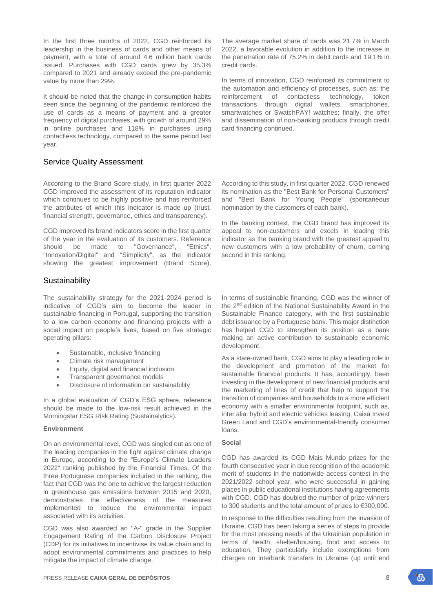In the first three months of 2022, CGD reinforced its leadership in the business of cards and other means of payment, with a total of around 4.6 million bank cards issued. Purchases with CGD cards grew by 35.3% compared to 2021 and already exceed the pre-pandemic value by more than 29%.

It should be noted that the change in consumption habits seen since the beginning of the pandemic reinforced the use of cards as a means of payment and a greater frequency of digital purchases, with growth of around 29% in online purchases and 118% in purchases using contactless technology, compared to the same period last year.

## Service Quality Assessment

According to the Brand Score study, in first quarter 2022 CGD improved the assessment of its reputation indicator which continues to be highly positive and has reinforced the attributes of which this indicator is made up (trust, financial strength, governance, ethics and transparency).

CGD improved its brand indicators score in the first quarter of the year in the evaluation of its customers. Reference should be made to "Governance", "Ethics", "Innovation/Digital" and "Simplicity", as the indicator showing the greatest improvement (Brand Score).

## **Sustainability**

The sustainability strategy for the 2021-2024 period is indicative of CGD's aim to become the leader in sustainable financing in Portugal, supporting the transition to a low carbon economy and financing projects with a social impact on people's lives, based on five strategic operating pillars:

- Sustainable, inclusive financing
- Climate risk management
- Equity, digital and financial inclusion
- Transparent governance models
- Disclosure of information on sustainability

In a global evaluation of CGD's ESG sphere, reference should be made to the low-risk result achieved in the Morningstar ESG Risk Rating (Sustainalytics).

#### **Environment**

On an environmental level, CGD was singled out as one of the leading companies in the fight against climate change in Europe, according to the "Europe's Climate Leaders 2022" ranking published by the Financial Times. Of the three Portuguese companies included in the ranking, the fact that CGD was the one to achieve the largest reduction in greenhouse gas emissions between 2015 and 2020, demonstrates the effectiveness of the measures implemented to reduce the environmental impact associated with its activities.

CGD was also awarded an "A-" grade in the Supplier Engagement Rating of the Carbon Disclosure Project (CDP) for its initiatives to incentivise its value chain and to adopt environmental commitments and practices to help mitigate the impact of climate change.

The average market share of cards was 21.7% in March 2022, a favorable evolution in addition to the increase in the penetration rate of 75.2% in debit cards and 19.1% in credit cards.

In terms of innovation, CGD reinforced its commitment to the automation and efficiency of processes, such as: the reinforcement of contactless technology, token transactions through digital wallets, smartphones, smartwatches or SwatchPAY! watches; finally, the offer and dissemination of non-banking products through credit card financing continued.

According to this study, in first quarter 2022, CGD renewed its nomination as the "Best Bank for Personal Customers" and "Best Bank for Young People" (spontaneous nomination by the customers of each bank).

In the banking context, the CGD brand has improved its appeal to non-customers and excels in leading this indicator as the banking brand with the greatest appeal to new customers with a low probability of churn, coming second in this ranking.

In terms of sustainable financing, CGD was the winner of the 2<sup>nd</sup> edition of the National Sustainability Award in the Sustainable Finance category, with the first sustainable debt issuance by a Portuguese bank. This major distinction has helped CGD to strengthen its position as a bank making an active contribution to sustainable economic development.

As a state-owned bank, CGD aims to play a leading role in the development and promotion of the market for sustainable financial products. It has, accordingly, been investing in the development of new financial products and the marketing of lines of credit that help to support the transition of companies and households to a more efficient economy with a smaller environmental footprint, such as, inter alia: hybrid and electric vehicles leasing, Caixa Invest Green Land and CGD's environmental-friendly consumer loans.

#### **Social**

CGD has awarded its CGD Mais Mundo prizes for the fourth consecutive year in due recognition of the academic merit of students in the nationwide access contest in the 2021/2022 school year, who were successful in gaining places in public educational institutions having agreements with CGD. CGD has doubled the number of prize-winners to 300 students and the total amount of prizes to €300,000.

In response to the difficulties resulting from the invasion of Ukraine, CGD has been taking a series of steps to provide for the most pressing needs of the Ukrainian population in terms of health, shelter/housing, food and access to education. They particularly include exemptions from charges on interbank transfers to Ukraine (up until end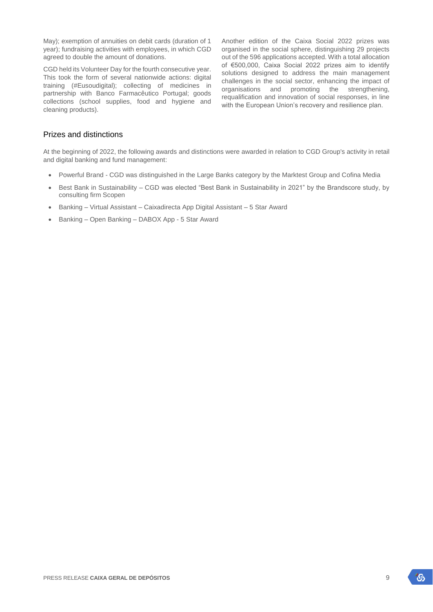May); exemption of annuities on debit cards (duration of 1 year); fundraising activities with employees, in which CGD agreed to double the amount of donations.

CGD held its Volunteer Day for the fourth consecutive year. This took the form of several nationwide actions: digital training (#Eusoudigital); collecting of medicines in partnership with Banco Farmacêutico Portugal; goods collections (school supplies, food and hygiene and cleaning products).

Another edition of the Caixa Social 2022 prizes was organised in the social sphere, distinguishing 29 projects out of the 596 applications accepted. With a total allocation of €500,000, Caixa Social 2022 prizes aim to identify solutions designed to address the main management challenges in the social sector, enhancing the impact of organisations and promoting the strengthening, requalification and innovation of social responses, in line with the European Union's recovery and resilience plan.

## Prizes and distinctions

At the beginning of 2022, the following awards and distinctions were awarded in relation to CGD Group's activity in retail and digital banking and fund management:

- Powerful Brand CGD was distinguished in the Large Banks category by the Marktest Group and Cofina Media
- Best Bank in Sustainability CGD was elected "Best Bank in Sustainability in 2021" by the Brandscore study, by consulting firm Scopen
- Banking Virtual Assistant Caixadirecta App Digital Assistant 5 Star Award
- Banking Open Banking DABOX App 5 Star Award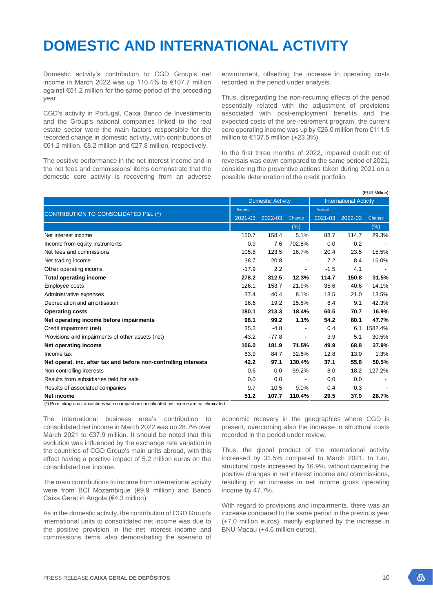## **DOMESTIC AND INTERNATIONAL ACTIVITY**

Domestic activity's contribution to CGD Group's net income in March 2022 was up 110.4% to €107.7 million against €51.2 million for the same period of the preceding year.

CGD's activity in Portugal, Caixa Banco de Investimento and the Group's national companies linked to the real estate sector were the main factors responsible for the recorded change in domestic activity, with contributions of €61.2 million, €8.2 million and €27.8 million, respectively.

The positive performance in the net interest income and in the net fees and commissions' items demonstrate that the domestic core activity is recovering from an adverse

environment, offsetting the increase in operating costs recorded in the period under analysis.

Thus, disregarding the non-recurring effects of the period essentially related with the adjustment of provisions associated with post-employment benefits and the expected costs of the pre-retirement program, the current core operating income was up by €26.0 million from €111.5 million to €137.5 million (+23.3%).

In the first three months of 2022, impaired credit net of reversals was down compared to the same period of 2021, considering the preventive actions taken during 2021 on a possible deterioration of the credit portfolio.

| (EUR Million)                                                   |                          |             |                |                               |         |         |
|-----------------------------------------------------------------|--------------------------|-------------|----------------|-------------------------------|---------|---------|
|                                                                 | <b>Domestic Activity</b> |             |                | <b>International Activity</b> |         |         |
|                                                                 | Restated                 |             |                | Restated                      |         |         |
| CONTRIBUTION TO CONSOLIDATED P&L (*)                            | 2021-03                  | $2022 - 03$ | Change         | 2021-03                       | 2022-03 | Change  |
|                                                                 |                          |             | $(\%)$         |                               |         | (% )    |
| Net interest income                                             | 150.7                    | 158.4       | 5.1%           | 88.7                          | 114.7   | 29.3%   |
| Income from equity instruments                                  | 0.9                      | 7.6         | 702.8%         | 0.0                           | 0.2     |         |
| Net fees and commissions                                        | 105.8                    | 123.5       | 16.7%          | 20.4                          | 23.5    | 15.5%   |
| Net trading income                                              | 38.7                     | 20.8        | $\blacksquare$ | 7.2                           | 8.4     | 16.0%   |
| Other operating income                                          | $-17.9$                  | 2.2         | $\blacksquare$ | $-1.5$                        | 4.1     |         |
| <b>Total operating income</b>                                   | 278.2                    | 312.5       | 12.3%          | 114.7                         | 150.8   | 31.5%   |
| Employee costs                                                  | 126.1                    | 153.7       | 21.9%          | 35.6                          | 40.6    | 14.1%   |
| Administrative expenses                                         | 37.4                     | 40.4        | 8.1%           | 18.5                          | 21.0    | 13.5%   |
| Depreciation and amortisation                                   | 16.6                     | 19.2        | 15.8%          | 6.4                           | 9.1     | 42.3%   |
| <b>Operating costs</b>                                          | 180.1                    | 213.3       | 18.4%          | 60.5                          | 70.7    | 16.9%   |
| Net operating income before impairments                         | 98.1                     | 99.2        | 1.1%           | 54.2                          | 80.1    | 47.7%   |
| Credit impairment (net)                                         | 35.3                     | $-4.8$      |                | 0.4                           | 6.1     | 1582.4% |
| Provisions and impairments of other assets (net)                | $-43.2$                  | $-77.8$     |                | 3.9                           | 5.1     | 30.5%   |
| Net operating income                                            | 106.0                    | 181.9       | 71.5%          | 49.9                          | 68.8    | 37.9%   |
| Income tax                                                      | 63.9                     | 84.7        | 32.6%          | 12.8                          | 13.0    | 1.3%    |
| Net operat. inc. after tax and before non-controlling interests | 42.2                     | 97.1        | 130.4%         | 37.1                          | 55.8    | 50.5%   |
| Non-controlling interests                                       | 0.6                      | 0.0         | $-99.2%$       | 8.0                           | 18.2    | 127.2%  |
| Results from subsidiaries held for sale                         | 0.0                      | 0.0         |                | 0.0                           | 0.0     |         |
| Results of associated companies                                 | 9.7                      | 10.5        | 9.0%           | 0.4                           | 0.3     |         |
| Net income                                                      | 51.2                     | 107.7       | 110.4%         | 29.5                          | 37.9    | 28.7%   |

 $(*)$  Pure intragroup transactions with no impact on consolidated net income are not eliminated.

The international business area's contribution to consolidated net income in March 2022 was up 28.7% over March 2021 to €37.9 million. It should be noted that this evolution was influenced by the exchange rate variation in the countries of CGD Group's main units abroad, with this effect having a positive impact of 5.2 million euros on the consolidated net income.

The main contributions to income from international activity were from BCI Mozambique (€9.9 million) and Banco Caixa Geral in Angola (€4.3 million).

As in the domestic activity, the contribution of CGD Group's international units to consolidated net income was due to the positive provision in the net interest income and commissions items, also demonstrating the scenario of economic recovery in the geographies where CGD is present, overcoming also the increase in structural costs recorded in the period under review.

Thus, the global product of the international activity increased by 31.5% compared to March 2021. In turn, structural costs increased by 16.9%, without canceling the positive changes in net interest income and commissions, resulting in an increase in net income gross operating income by 47.7%.

With regard to provisions and impairments, there was an increase compared to the same period in the previous year (+7.0 million euros), mainly explained by the increase in BNU Macau (+4.6 million euros).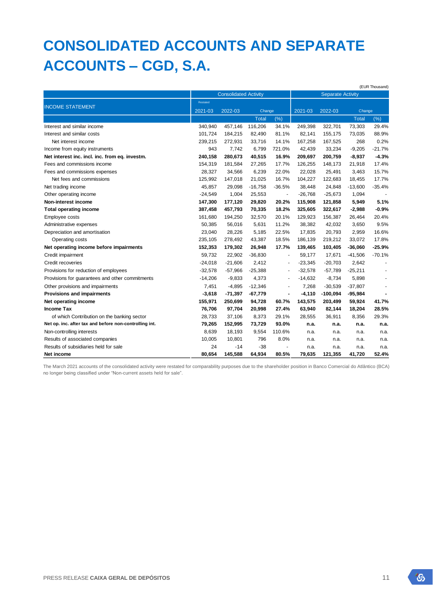# **CONSOLIDATED ACCOUNTS AND SEPARATE ACCOUNTS – CGD, S.A.**

|                                                        |           |                              |              |                          |                          |            |              | (EUR Thousand) |
|--------------------------------------------------------|-----------|------------------------------|--------------|--------------------------|--------------------------|------------|--------------|----------------|
|                                                        |           | <b>Consolidated Activity</b> |              |                          | <b>Separate Activity</b> |            |              |                |
|                                                        | Restated  |                              |              |                          |                          |            |              |                |
| <b>INCOME STATEMENT</b>                                | 2021-03   | 2022-03                      | Change       |                          | 2021-03                  | 2022-03    | Change       |                |
|                                                        |           |                              | <b>Total</b> | (% )                     |                          |            | <b>Total</b> | (% )           |
| Interest and similar income                            | 340.940   | 457,146                      | 116,206      | 34.1%                    | 249,398                  | 322,701    | 73,303       | 29.4%          |
| Interest and similar costs                             | 101,724   | 184,215                      | 82,490       | 81.1%                    | 82,141                   | 155,175    | 73,035       | 88.9%          |
| Net interest income                                    | 239,215   | 272,931                      | 33,716       | 14.1%                    | 167,258                  | 167,525    | 268          | 0.2%           |
| Income from equity instruments                         | 943       | 7,742                        | 6,799        | 721.0%                   | 42,439                   | 33,234     | $-9,205$     | $-21.7%$       |
| Net interest inc. incl. inc. from eq. investm.         | 240,158   | 280,673                      | 40,515       | 16.9%                    | 209,697                  | 200,759    | $-8,937$     | $-4.3%$        |
| Fees and commissions income                            | 154,319   | 181,584                      | 27,265       | 17.7%                    | 126,255                  | 148,173    | 21,918       | 17.4%          |
| Fees and commissions expenses                          | 28,327    | 34,566                       | 6,239        | 22.0%                    | 22,028                   | 25,491     | 3,463        | 15.7%          |
| Net fees and commissions                               | 125,992   | 147,018                      | 21,025       | 16.7%                    | 104,227                  | 122,683    | 18,455       | 17.7%          |
| Net trading income                                     | 45,857    | 29,098                       | $-16,758$    | $-36.5%$                 | 38,448                   | 24,848     | $-13,600$    | $-35.4%$       |
| Other operating income                                 | $-24,549$ | 1,004                        | 25,553       | $\blacksquare$           | $-26,768$                | $-25,673$  | 1,094        |                |
| Non-interest income                                    | 147,300   | 177,120                      | 29,820       | 20.2%                    | 115,908                  | 121,858    | 5,949        | 5.1%           |
| <b>Total operating income</b>                          | 387,458   | 457,793                      | 70,335       | 18.2%                    | 325,605                  | 322,617    | $-2,988$     | $-0.9%$        |
| Employee costs                                         | 161,680   | 194,250                      | 32,570       | 20.1%                    | 129,923                  | 156,387    | 26,464       | 20.4%          |
| Administrative expenses                                | 50,385    | 56,016                       | 5,631        | 11.2%                    | 38,382                   | 42,032     | 3.650        | 9.5%           |
| Depreciation and amortisation                          | 23,040    | 28,226                       | 5,185        | 22.5%                    | 17,835                   | 20,793     | 2,959        | 16.6%          |
| Operating costs                                        | 235,105   | 278,492                      | 43,387       | 18.5%                    | 186,139                  | 219,212    | 33,072       | 17.8%          |
| Net operating income before impairments                | 152,353   | 179,302                      | 26,948       | 17.7%                    | 139,465                  | 103,405    | $-36,060$    | $-25.9%$       |
| Credit impairment                                      | 59.732    | 22,902                       | $-36,830$    | ÷,                       | 59,177                   | 17,671     | $-41,506$    | $-70.1%$       |
| Credit recoveries                                      | $-24,018$ | $-21,606$                    | 2,412        | $\blacksquare$           | $-23,345$                | $-20,703$  | 2,642        |                |
| Provisions for reduction of employees                  | $-32,578$ | $-57,966$                    | $-25,388$    | $\overline{\phantom{a}}$ | $-32,578$                | $-57,789$  | $-25,211$    |                |
| Provisions for guarantees and other commitments        | $-14,206$ | $-9,833$                     | 4,373        |                          | $-14,632$                | $-8,734$   | 5,898        |                |
| Other provisions and impairments                       | 7,451     | $-4,895$                     | $-12,346$    |                          | 7,268                    | $-30,539$  | $-37,807$    |                |
| Provisions and impairments                             | $-3,618$  | $-71,397$                    | $-67,779$    | $\blacksquare$           | $-4,110$                 | $-100,094$ | $-95,984$    |                |
| Net operating income                                   | 155,971   | 250,699                      | 94,728       | 60.7%                    | 143,575                  | 203,499    | 59,924       | 41.7%          |
| <b>Income Tax</b>                                      | 76,706    | 97,704                       | 20,998       | 27.4%                    | 63,940                   | 82,144     | 18,204       | 28.5%          |
| of which Contribution on the banking sector            | 28,733    | 37,106                       | 8,373        | 29.1%                    | 28,555                   | 36,911     | 8,356        | 29.3%          |
| Net op. inc. after tax and before non-controlling int. | 79,265    | 152,995                      | 73,729       | 93.0%                    | n.a.                     | n.a.       | n.a.         | n.a.           |
| Non-controlling interests                              | 8,639     | 18,193                       | 9,554        | 110.6%                   | n.a.                     | n.a.       | n.a.         | n.a.           |
| Results of associated companies                        | 10,005    | 10,801                       | 796          | 8.0%                     | n.a.                     | n.a.       | n.a.         | n.a.           |
| Results of subsidiaries held for sale                  | 24        | $-14$                        | $-38$        | $\blacksquare$           | n.a.                     | n.a.       | n.a.         | n.a.           |
| Net income                                             | 80,654    | 145,588                      | 64,934       | 80.5%                    | 79,635                   | 121,355    | 41,720       | 52.4%          |

The March 2021 accounts of the consolidated activity were restated for comparability purposes due to the shareholder position in Banco Comercial do Atlântico (BCA) no longer being classified under "Non-current assets held for sale".